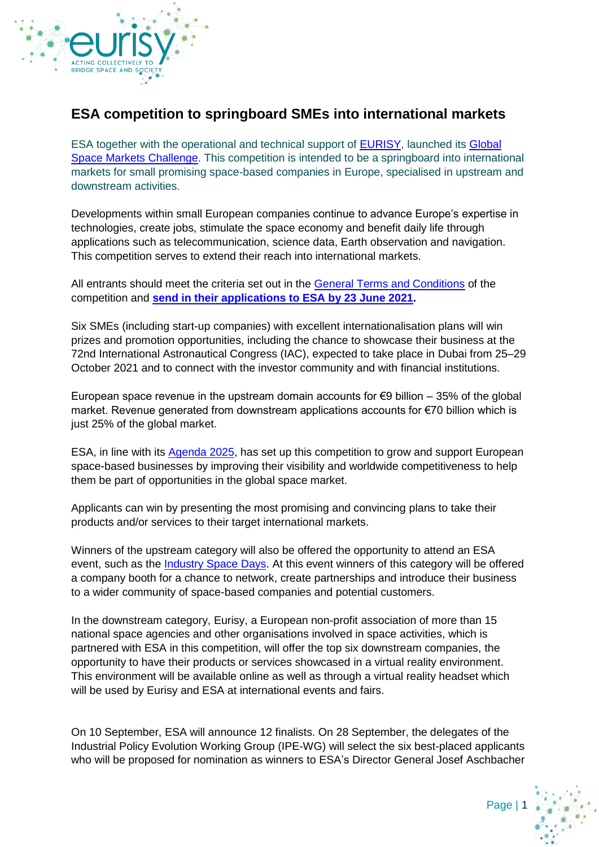

## **ESA competition to springboard SMEs into international markets**

ESA together with the operational and technical support of [EURISY,](https://www.eurisy.eu/) launched its [Global](https://space-economy.esa.int/global-space-markets-challenge)  [Space Markets Challenge.](https://space-economy.esa.int/global-space-markets-challenge) This competition is intended to be a springboard into international markets for small promising space-based companies in Europe, specialised in upstream and downstream activities.

Developments within small European companies continue to advance Europe's expertise in technologies, create jobs, stimulate the space economy and benefit daily life through applications such as telecommunication, science data, Earth observation and navigation. This competition serves to extend their reach into international markets.

All entrants should meet the criteria set out in the [General Terms and Conditions](https://space-economy.esa.int/download/challenge-terms-and-conditions.pdf) of the competition and **[send in their applications](https://space-economy.esa.int/application) to ESA by 23 June 2021.**

Six SMEs (including start-up companies) with excellent internationalisation plans will win prizes and promotion opportunities, including the chance to showcase their business at the 72nd International Astronautical Congress (IAC), expected to take place in Dubai from 25–29 October 2021 and to connect with the investor community and with financial institutions.

European space revenue in the upstream domain accounts for  $\epsilon$ 9 billion – 35% of the global market. Revenue generated from downstream applications accounts for €70 billion which is just 25% of the global market.

ESA, in line with its [Agenda 2025,](http://www.esa.int/About_Us/Introducing_ESA_Agenda_2025) has set up this competition to grow and support European space-based businesses by improving their visibility and worldwide competitiveness to help them be part of opportunities in the global space market.

Applicants can win by presenting the most promising and convincing plans to take their products and/or services to their target international markets.

Winners of the upstream category will also be offered the opportunity to attend an ESA event, such as the [Industry Space Days.](http://www.esa.int/About_Us/Business_with_ESA/Small_and_Medium_Sized_Enterprises/SME_Resources/Industry_Space_Days) At this event winners of this category will be offered a company booth for a chance to network, create partnerships and introduce their business to a wider community of space-based companies and potential customers.

In the downstream category, Eurisy, a European non-profit association of more than 15 national space agencies and other organisations involved in space activities, which is partnered with ESA in this competition, will offer the top six downstream companies, the opportunity to have their products or services showcased in a virtual reality environment. This environment will be available online as well as through a virtual reality headset which will be used by Eurisy and ESA at international events and fairs.

On 10 September, ESA will announce 12 finalists. On 28 September, the delegates of the Industrial Policy Evolution Working Group (IPE-WG) will select the six best-placed applicants who will be proposed for nomination as winners to ESA's Director General Josef Aschbacher

Page | 1